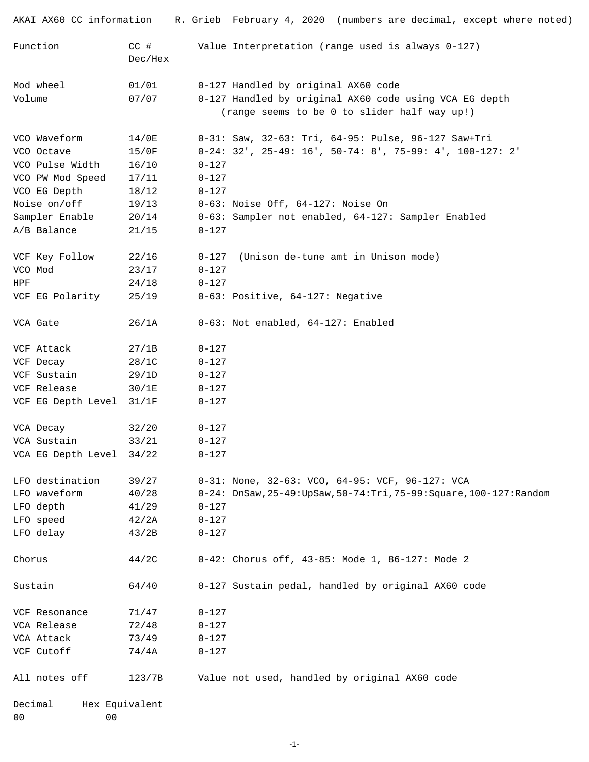| AKAI AX60 CC information         |                   | R. Grieb February 4, 2020 (numbers are decimal, except where noted)    |
|----------------------------------|-------------------|------------------------------------------------------------------------|
| Function                         | $CC$ #<br>Dec/Hex | Value Interpretation (range used is always 0-127)                      |
| Mod wheel                        | 01/01             | 0-127 Handled by original AX60 code                                    |
| Volume                           | 07/07             | 0-127 Handled by original AX60 code using VCA EG depth                 |
|                                  |                   | (range seems to be 0 to slider half way up!)                           |
| VCO Waveform                     | 14/0E             | 0-31: Saw, 32-63: Tri, 64-95: Pulse, 96-127 Saw+Tri                    |
| VCO Octave                       | 15/0F             | $0-24: 32'$ , $25-49: 16'$ , $50-74: 8'$ , $75-99: 4'$ , $100-127: 2'$ |
| VCO Pulse Width                  | 16/10             | $0 - 127$                                                              |
| VCO PW Mod Speed                 | 17/11             | $0 - 127$                                                              |
| VCO EG Depth                     | 18/12             | $0 - 127$                                                              |
| Noise on/off                     | 19/13             | 0-63: Noise Off, 64-127: Noise On                                      |
| Sampler Enable                   | 20/14             | 0-63: Sampler not enabled, 64-127: Sampler Enabled                     |
| A/B Balance                      | 21/15             | $0 - 127$                                                              |
| VCF Key Follow                   | 22/16             | (Unison de-tune amt in Unison mode)<br>$0 - 127$                       |
| VCO Mod                          | 23/17             | $0 - 127$                                                              |
| HPF                              | 24/18             | $0 - 127$                                                              |
| VCF EG Polarity                  | 25/19             | 0-63: Positive, 64-127: Negative                                       |
| VCA Gate                         | 26/1A             | 0-63: Not enabled, 64-127: Enabled                                     |
| VCF Attack                       | 27/1B             | $0 - 127$                                                              |
| VCF Decay                        | 28/1C             | $0 - 127$                                                              |
| VCF Sustain                      | 29/1D             | $0 - 127$                                                              |
| VCF Release                      | 30/1E             | $0 - 127$                                                              |
| VCF EG Depth Level               | 31/1F             | $0 - 127$                                                              |
| VCA Decay                        | 32/20             | $0 - 127$                                                              |
| VCA Sustain                      | 33/21             | $0 - 127$                                                              |
| VCA EG Depth Level 34/22         |                   | $0 - 127$                                                              |
| LFO destination                  | 39/27             | 0-31: None, 32-63: VCO, 64-95: VCF, 96-127: VCA                        |
| LFO waveform                     | 40/28             | $0-24:$ DnSaw, $25-49:UpSaw, 50-74:Tri, 75-99:Square, 100-127:Random$  |
| LFO depth                        | 41/29             | $0 - 127$                                                              |
| LFO speed                        | 42/2A             | $0 - 127$                                                              |
| LFO delay                        | 43/2B             | $0 - 127$                                                              |
| Chorus                           | 44/2C             | 0-42: Chorus off, 43-85: Mode 1, 86-127: Mode 2                        |
| Sustain                          | 64/40             | 0-127 Sustain pedal, handled by original AX60 code                     |
| VCF Resonance                    | 71/47             | $0 - 127$                                                              |
| VCA Release                      | 72/48             | $0 - 127$                                                              |
| VCA Attack                       | 73/49             | $0 - 127$                                                              |
| VCF Cutoff                       | 74/4A             | $0 - 127$                                                              |
| All notes off                    | 123/7B            | Value not used, handled by original AX60 code                          |
| Decimal                          | Hex Equivalent    |                                                                        |
| 0 <sub>0</sub><br>0 <sub>0</sub> |                   |                                                                        |